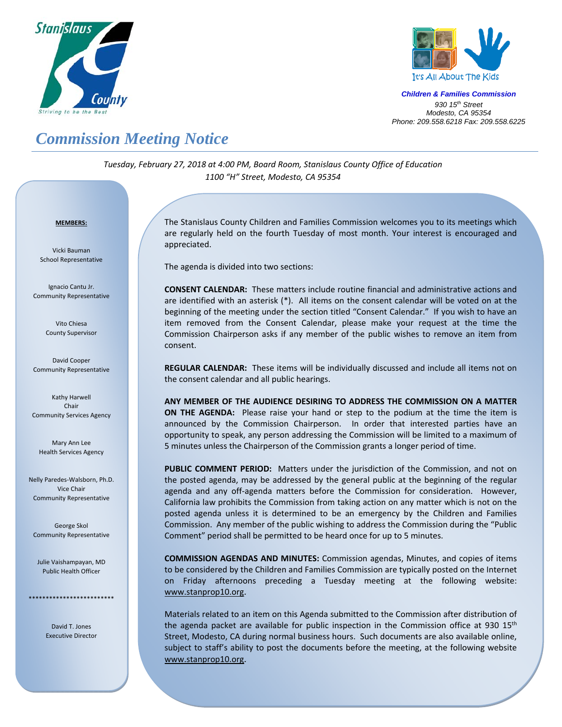



*Children & Families Commission 930 15th Street Modesto, CA 95354 Phone: 209.558.6218 Fax: 209.558.6225*

## *Commission Meeting Notice*

*Tuesday, February 27, 2018 at 4:00 PM, Board Room, Stanislaus County Office of Education 1100 "H" Street, Modesto, CA 95354*

## <sup>U</sup>**MEMBERS:**

Vicki Bauman School Representative

Ignacio Cantu Jr. Community Representative

> Vito Chiesa County Supervisor

David Cooper Community Representative

Kathy Harwell Chair Community Services Agency

Mary Ann Lee Health Services Agency

Nelly Paredes‐Walsborn, Ph.D. Vice Chair Community Representative

George Skol Community Representative

Julie Vaishampayan, MD Public Health Officer

\*\*\*\*\*\*\*\*\*\*\*\*\*\*\*\*\*\*\*\*\*\*\*\*\*

David T. Jones Executive Director

 $\overline{a}$ 

The Stanislaus County Children and Families Commission welcomes you to its meetings which are regularly held on the fourth Tuesday of most month. Your interest is encouraged and appreciated.

The agenda is divided into two sections:

**CONSENT CALENDAR:** These matters include routine financial and administrative actions and are identified with an asterisk (\*). All items on the consent calendar will be voted on at the beginning of the meeting under the section titled "Consent Calendar." If you wish to have an item removed from the Consent Calendar, please make your request at the time the Commission Chairperson asks if any member of the public wishes to remove an item from consent.

**REGULAR CALENDAR:** These items will be individually discussed and include all items not on the consent calendar and all public hearings.

**ANY MEMBER OF THE AUDIENCE DESIRING TO ADDRESS THE COMMISSION ON A MATTER ON THE AGENDA:** Please raise your hand or step to the podium at the time the item is announced by the Commission Chairperson. In order that interested parties have an opportunity to speak, any person addressing the Commission will be limited to a maximum of 5 minutes unless the Chairperson of the Commission grants a longer period of time.

PUBLIC COMMENT PERIOD: Matters under the jurisdiction of the Commission, and not on the posted agenda, may be addressed by the general public at the beginning of the regular agenda and any off-agenda matters before the Commission for consideration. However, California law prohibits the Commission from taking action on any matter which is not on the posted agenda unless it is determined to be an emergency by the Children and Families Commission. Any member of the public wishing to address the Commission during the "Public Comment" period shall be permitted to be heard once for up to 5 minutes.

**COMMISSION AGENDAS AND MINUTES:** Commission agendas, Minutes, and copies of items to be considered by the Children and Families Commission are typically posted on the Internet on Friday afternoons preceding a Tuesday meeting at the following website: www.stanprop10.org.

Materials related to an item on this Agenda submitted to the Commission after distribution of the agenda packet are available for public inspection in the Commission office at 930  $15<sup>th</sup>$ Street, Modesto, CA during normal business hours. Such documents are also available online, subject to staff's ability to post the documents before the meeting, at the following website www.stanprop10.org.